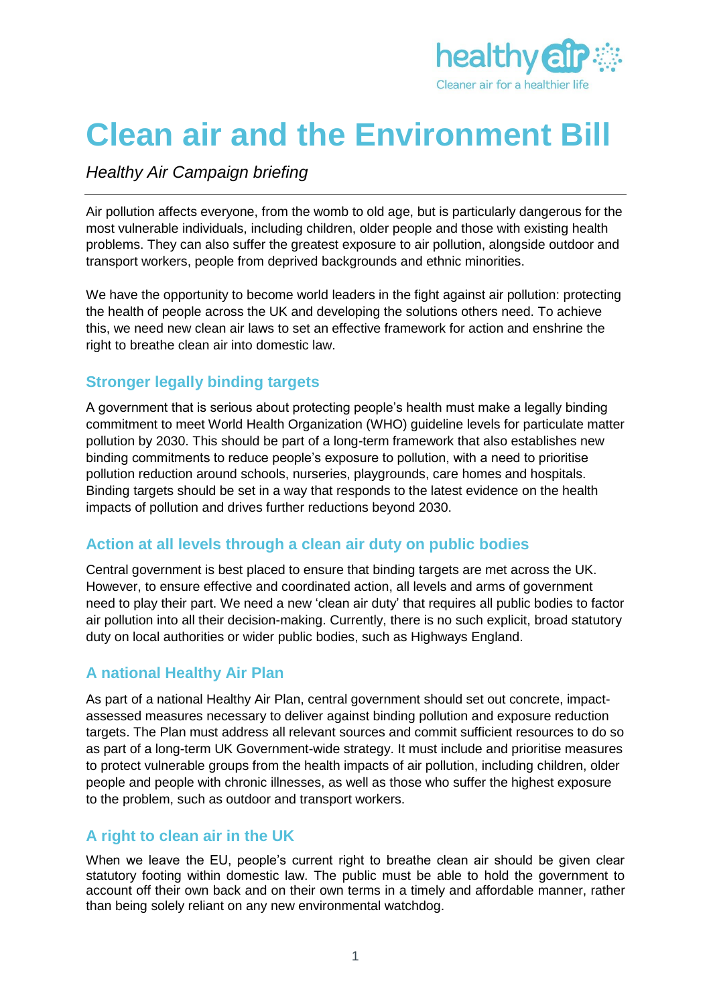

# **Clean air and the Environment Bill**

## *Healthy Air Campaign briefing*

Air pollution affects everyone, from the womb to old age, but is particularly dangerous for the most vulnerable individuals, including children, older people and those with existing health problems. They can also suffer the greatest exposure to air pollution, alongside outdoor and transport workers, people from deprived backgrounds and ethnic minorities.

We have the opportunity to become world leaders in the fight against air pollution: protecting the health of people across the UK and developing the solutions others need. To achieve this, we need new clean air laws to set an effective framework for action and enshrine the right to breathe clean air into domestic law.

#### **Stronger legally binding targets**

A government that is serious about protecting people's health must make a legally binding commitment to meet World Health Organization (WHO) guideline levels for particulate matter pollution by 2030. This should be part of a long-term framework that also establishes new binding commitments to reduce people's exposure to pollution, with a need to prioritise pollution reduction around schools, nurseries, playgrounds, care homes and hospitals. Binding targets should be set in a way that responds to the latest evidence on the health impacts of pollution and drives further reductions beyond 2030.

#### **Action at all levels through a clean air duty on public bodies**

Central government is best placed to ensure that binding targets are met across the UK. However, to ensure effective and coordinated action, all levels and arms of government need to play their part. We need a new 'clean air duty' that requires all public bodies to factor air pollution into all their decision-making. Currently, there is no such explicit, broad statutory duty on local authorities or wider public bodies, such as Highways England.

#### **A national Healthy Air Plan**

As part of a national Healthy Air Plan, central government should set out concrete, impactassessed measures necessary to deliver against binding pollution and exposure reduction targets. The Plan must address all relevant sources and commit sufficient resources to do so as part of a long-term UK Government-wide strategy. It must include and prioritise measures to protect vulnerable groups from the health impacts of air pollution, including children, older people and people with chronic illnesses, as well as those who suffer the highest exposure to the problem, such as outdoor and transport workers.

#### **A right to clean air in the UK**

When we leave the EU, people's current right to breathe clean air should be given clear statutory footing within domestic law. The public must be able to hold the government to account off their own back and on their own terms in a timely and affordable manner, rather than being solely reliant on any new environmental watchdog.